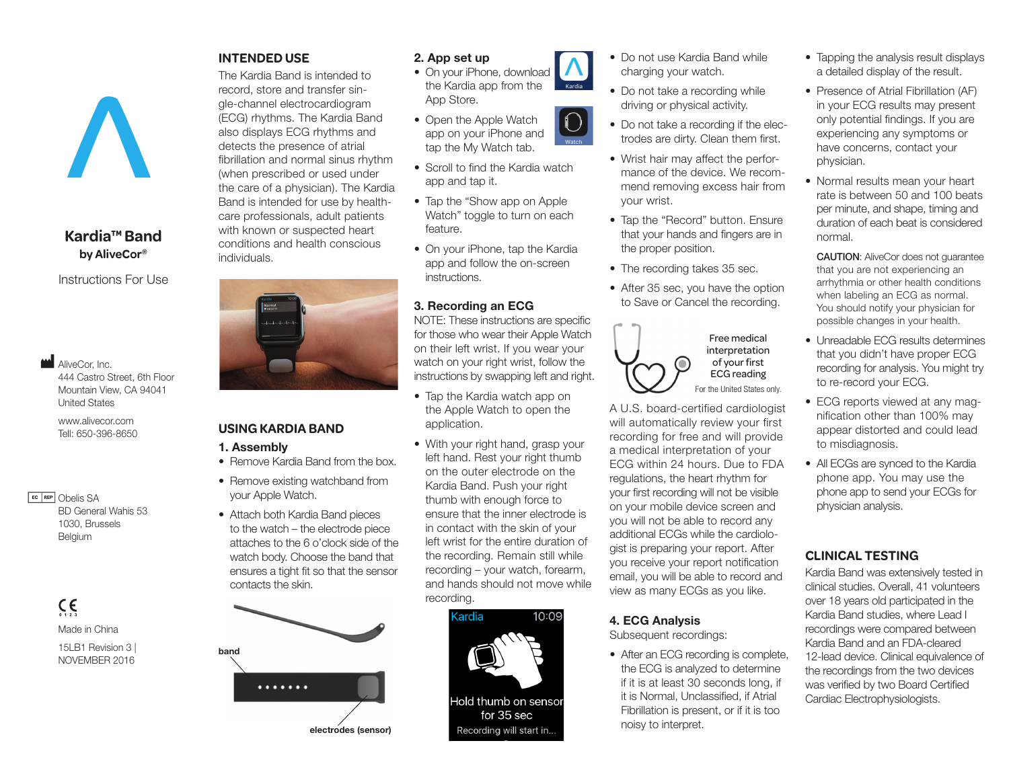## **Kardia™ Band by AliveCor®**

Instructions For Use

**M** AliveCor, Inc. 444 Castro Street, 6th Floor Mountain View, CA 94041 United States

www.alivecor.com Tell: 650-396-8650

EC REP Obelis SA BD General Wahis 53 1030, Brussels Belgium

> $C \in$ Made in China 15LB1 Revision 3 | NOVEMBER 2016

#### **INTENDED USE**

The Kardia Band is intended to record, store and transfer single-channel electrocardiogram (ECG) rhythms. The Kardia Band also displays ECG rhythms and detects the presence of atrial fibrillation and normal sinus rhythm (when prescribed or used under the care of a physician). The Kardia Band is intended for use by healthcare professionals, adult patients with known or suspected heart conditions and health conscious individuals.



#### **USING KARDIA BAND**

- 1. Assembly
- Remove Kardia Band from the box
- Remove existing watchband from your Apple Watch. • Attach both Kardia Band pieces to the watch – the electrode piece
	- attaches to the 6 o'clock side of the watch body. Choose the band that ensures a tight fit so that the sensor contacts the skin.



## 2. App set up

- On your iPhone, download the Kardia app from the App Store.
- Open the Apple Watch app on your iPhone and tap the My Watch tab.
- Scroll to find the Kardia watch app and tap it.
- Tap the "Show app on Apple Watch" toggle to turn on each feature.
- On your iPhone, tap the Kardia app and follow the on-screen instructions.

## 3. Recording an ECG

NOTE: These instructions are specific for those who wear their Apple Watch on their left wrist. If you wear your watch on your right wrist, follow the instructions by swapping left and right.

- Tap the Kardia watch app on the Apple Watch to open the application.
- With your right hand, grasp your left hand. Rest your right thumb on the outer electrode on the Kardia Band. Push your right thumb with enough force to ensure that the inner electrode is in contact with the skin of your left wrist for the entire duration of the recording. Remain still while recording – your watch, forearm, and hands should not move while recording.



- Do not use Kardia Band while charging your watch.
- Do not take a recording while driving or physical activity.
- Do not take a recording if the electrodes are dirty. Clean them first.
- Wrist hair may affect the performance of the device. We recommend removing excess hair from your wrist.
- Tap the "Record" button. Ensure that your hands and fingers are in the proper position.
- The recording takes 35 sec.
- After 35 sec, you have the option to Save or Cancel the recording.



A U.S. board-certified cardiologist will automatically review your first recording for free and will provide a medical interpretation of your ECG within 24 hours. Due to FDA regulations, the heart rhythm for your first recording will not be visible on your mobile device screen and you will not be able to record any additional ECGs while the cardiologist is preparing your report. After you receive your report notification email, you will be able to record and view as many ECGs as you like.

#### 4. ECG Analysis

Subsequent recordings:

• After an ECG recording is complete, the ECG is analyzed to determine if it is at least 30 seconds long, if it is Normal, Unclassified, if Atrial Fibrillation is present, or if it is too noisy to interpret.

- Tapping the analysis result displays a detailed display of the result.
- Presence of Atrial Fibrillation (AF) in your ECG results may present only potential findings. If you are experiencing any symptoms or have concerns, contact your physician.
- Normal results mean your heart rate is between 50 and 100 beats per minute, and shape, timing and duration of each beat is considered normal.

CAUTION: AliveCor does not guarantee that you are not experiencing an arrhythmia or other health conditions when labeling an ECG as normal. You should notify your physician for possible changes in your health.

- Unreadable ECG results determines that you didn't have proper ECG recording for analysis. You might try to re-record your ECG.
- ECG reports viewed at any magnification other than 100% may appear distorted and could lead to misdiagnosis.
- All ECGs are synced to the Kardia phone app. You may use the phone app to send your ECGs for physician analysis.

# **CLINICAL TESTING**

Kardia Band was extensively tested in clinical studies. Overall, 41 volunteers over 18 years old participated in the Kardia Band studies, where Lead I recordings were compared between Kardia Band and an FDA-cleared 12-lead device. Clinical equivalence of the recordings from the two devices was verified by two Board Certified Cardiac Electrophysiologists.